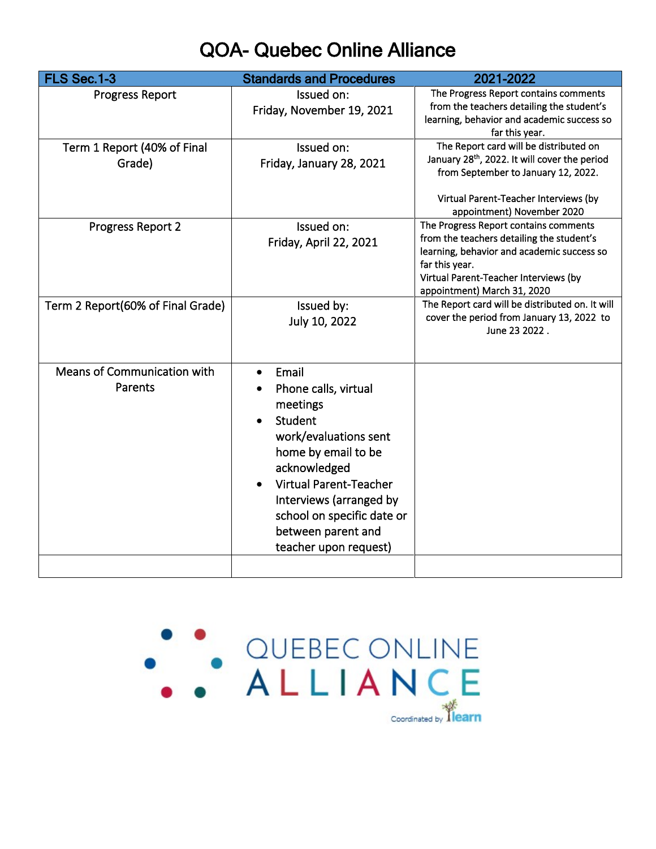## QOA- Quebec Online Alliance

| FLS Sec.1-3                       | <b>Standards and Procedures</b> | 2021-2022                                                    |
|-----------------------------------|---------------------------------|--------------------------------------------------------------|
| <b>Progress Report</b>            | Issued on:                      | The Progress Report contains comments                        |
|                                   | Friday, November 19, 2021       | from the teachers detailing the student's                    |
|                                   |                                 | learning, behavior and academic success so<br>far this year. |
| Term 1 Report (40% of Final       | Issued on:                      | The Report card will be distributed on                       |
| Grade)                            | Friday, January 28, 2021        | January 28 <sup>th</sup> , 2022. It will cover the period    |
|                                   |                                 | from September to January 12, 2022.                          |
|                                   |                                 | Virtual Parent-Teacher Interviews (by                        |
|                                   |                                 | appointment) November 2020                                   |
| Progress Report 2                 | Issued on:                      | The Progress Report contains comments                        |
|                                   | Friday, April 22, 2021          | from the teachers detailing the student's                    |
|                                   |                                 | learning, behavior and academic success so                   |
|                                   |                                 | far this year.<br>Virtual Parent-Teacher Interviews (by      |
|                                   |                                 | appointment) March 31, 2020                                  |
| Term 2 Report(60% of Final Grade) | Issued by:                      | The Report card will be distributed on. It will              |
|                                   | July 10, 2022                   | cover the period from January 13, 2022 to                    |
|                                   |                                 | June 23 2022.                                                |
|                                   |                                 |                                                              |
| Means of Communication with       | Email                           |                                                              |
| Parents                           | Phone calls, virtual            |                                                              |
|                                   | meetings                        |                                                              |
|                                   | Student                         |                                                              |
|                                   | work/evaluations sent           |                                                              |
|                                   | home by email to be             |                                                              |
|                                   | acknowledged                    |                                                              |
|                                   | <b>Virtual Parent-Teacher</b>   |                                                              |
|                                   |                                 |                                                              |
|                                   | Interviews (arranged by         |                                                              |
|                                   | school on specific date or      |                                                              |
|                                   | between parent and              |                                                              |
|                                   | teacher upon request)           |                                                              |
|                                   |                                 |                                                              |